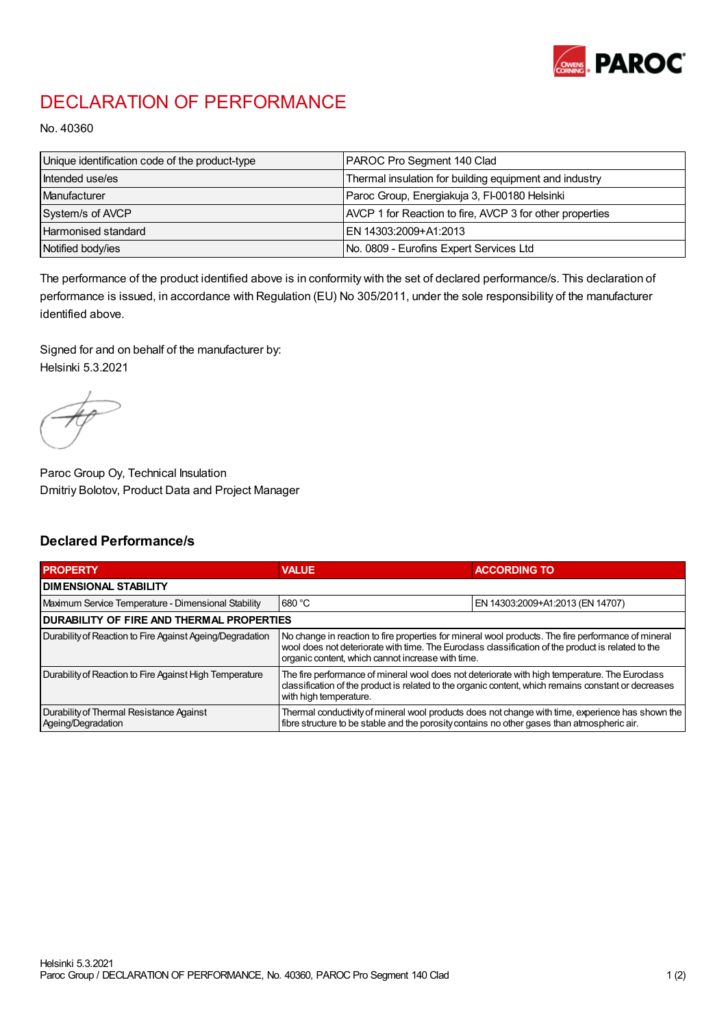

## DECLARATION OF PERFORMANCE

No. 40360

| Unique identification code of the product-type | PAROC Pro Segment 140 Clad                               |
|------------------------------------------------|----------------------------------------------------------|
| Intended use/es                                | Thermal insulation for building equipment and industry   |
| Manufacturer                                   | Paroc Group, Energiakuja 3, FI-00180 Helsinki            |
| System/s of AVCP                               | AVCP 1 for Reaction to fire, AVCP 3 for other properties |
| Harmonised standard                            | IEN 14303:2009+A1:2013                                   |
| Notified body/ies                              | No. 0809 - Eurofins Expert Services Ltd                  |

The performance of the product identified above is in conformity with the set of declared performance/s. This declaration of performance is issued, in accordance with Regulation (EU) No 305/2011, under the sole responsibility of the manufacturer identified above.

Signed for and on behalf of the manufacturer by: Helsinki 5.3.2021

Paroc Group Oy, Technical Insulation Dmitriy Bolotov, Product Data and Project Manager

## Declared Performance/s

| <b>PROPERTY</b>                                                | <b>VALUE</b>                                                                                                                                                                                                                                                   | <b>ACCORDING TO</b>              |  |
|----------------------------------------------------------------|----------------------------------------------------------------------------------------------------------------------------------------------------------------------------------------------------------------------------------------------------------------|----------------------------------|--|
| <b>DIMENSIONAL STABILITY</b>                                   |                                                                                                                                                                                                                                                                |                                  |  |
| Maximum Service Temperature - Dimensional Stability            | 680 °C                                                                                                                                                                                                                                                         | EN 14303:2009+A1:2013 (EN 14707) |  |
| <b>DURABILITY OF FIRE AND THERMAL PROPERTIES</b>               |                                                                                                                                                                                                                                                                |                                  |  |
| Durability of Reaction to Fire Against Ageing/Degradation      | No change in reaction to fire properties for mineral wool products. The fire performance of mineral<br>wool does not deteriorate with time. The Euroclass classification of the product is related to the<br>organic content, which cannot increase with time. |                                  |  |
| Durability of Reaction to Fire Against High Temperature        | The fire performance of mineral wool does not deteriorate with high temperature. The Euroclass<br>classification of the product is related to the organic content, which remains constant or decreases<br>with high temperature.                               |                                  |  |
| Durability of Thermal Resistance Against<br>Ageing/Degradation | Thermal conductivity of mineral wool products does not change with time, experience has shown the<br>fibre structure to be stable and the porosity contains no other gases than atmospheric air.                                                               |                                  |  |